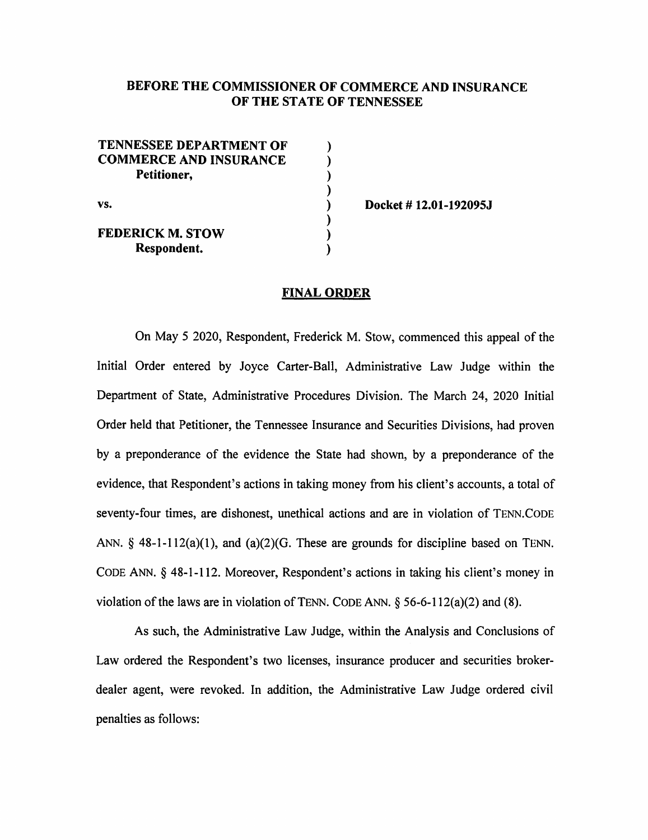# BEFORE THE COMMISSIONER OF COMMERCE AND INSURANCE OF THE STATE OF TENNESSEE

| <b>TENNESSEE DEPARTMENT OF</b> |  |
|--------------------------------|--|
| <b>COMMERCE AND INSURANCE</b>  |  |
| Petitioner,<br>VS.             |  |
|                                |  |
|                                |  |
|                                |  |
| <b>FEDERICK M. STOW</b>        |  |
| Respondent.                    |  |

Docket# 12.01-192095J

### FINAL ORDER

On May 5 2020, Respondent, Frederick M. Stow, commenced this appeal of the Initial Order entered by Joyce Carter-Ball, Administrative Law Judge within the Department of State, Administrative Procedures Division. The March 24, 2020 Initial Order held that Petitioner, the Tennessee Insurance and Securities Divisions, had proven by a preponderance of the evidence the State had shown, by a preponderance of the evidence, that Respondent's actions in taking money from his client's accounts, a total of seventy-four times, are dishonest, unethical actions and are in violation of TENN.CODE ANN.  $\S$  48-1-112(a)(1), and (a)(2)(G. These are grounds for discipline based on TENN. CODE ANN. § 48-1-112. Moreover, Respondent's actions in taking his client's money in violation of the laws are in violation of TENN. CODE ANN.  $\S$  56-6-112(a)(2) and (8).

As such, the Administrative Law Judge, within the Analysis and Conclusions of Law ordered the Respondent's two licenses, insurance producer and securities brokerdealer agent, were revoked. In addition, the Administrative Law Judge ordered civil penalties as follows: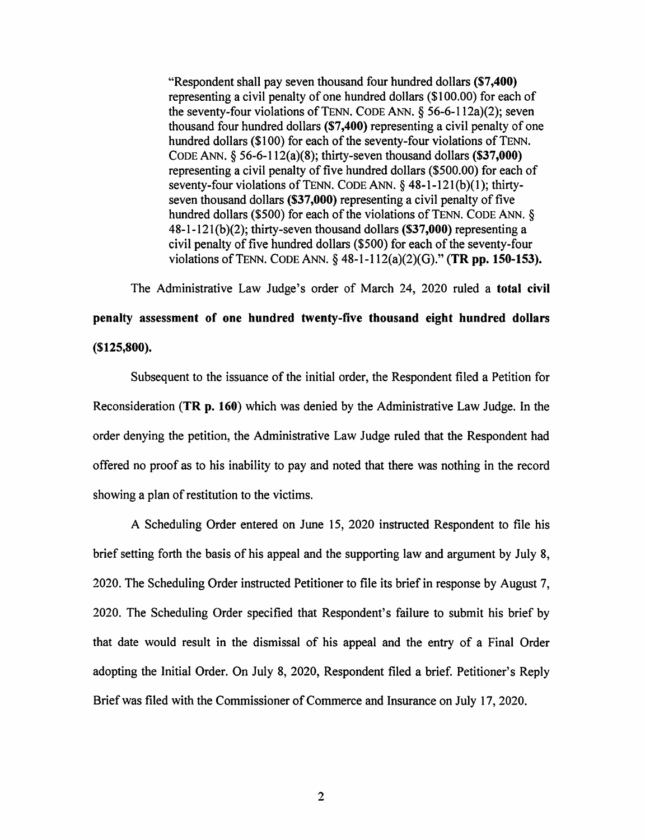"Respondent shall pay seven thousand four hundred dollars (\$7 ,400) representing a civil penalty of one hundred dollars (\$1 00.00) for each of the seventy-four violations of TENN. CODE ANN.  $\delta$  56-6-112a)(2); seven thousand four hundred dollars (\$7 ,400) representing a civil penalty of one hundred dollars (\$100) for each of the seventy-four violations of TENN. CODE ANN.  $\S$  56-6-112(a)(8); thirty-seven thousand dollars (\$37,000) representing a civil penalty of five hundred dollars (\$500.00) for each of seventy-four violations of TENN. CODE ANN. § 48-1-121(b)(1); thirtyseven thousand dollars (\$37,000) representing a civil penalty of five hundred dollars (\$500) for each of the violations of TENN. CODE ANN.  $\delta$ 48-1-121(b)(2); thirty-seven thousand dollars (\$37,000) representing a civil penalty of five hundred dollars (\$500) for each of the seventy-four violations of TENN. CODE ANN. § 48-1-112(a)(2)(G)." (TR pp. 150-153).

The Administrative Law Judge's order of March 24, 2020 ruled a total civil penalty assessment of one hundred twenty-five thousand eight hundred dollars (\$125,800).

Subsequent to the issuance of the initial order, the Respondent filed a Petition for Reconsideration (TR p. 160) which was denied by the Administrative Law Judge. In the order denying the petition, the Administrative Law Judge ruled that the Respondent had offered no proof as to his inability to pay and noted that there was nothing in the record showing a plan of restitution to the victims.

A Scheduling Order entered on June 15, 2020 instructed Respondent to file his brief setting forth the basis of his appeal and the supporting law and argument by July 8, 2020. The Scheduling Order instructed Petitioner to file its brief in response by August 7, 2020. The Scheduling Order specified that Respondent's failure to submit his brief by that date would result in the dismissal of his appeal and the entry of a Final Order adopting the Initial Order. On July 8, 2020, Respondent filed a brief. Petitioner's Reply Brief was filed with the Commissioner of Commerce and Insurance on July 17, 2020.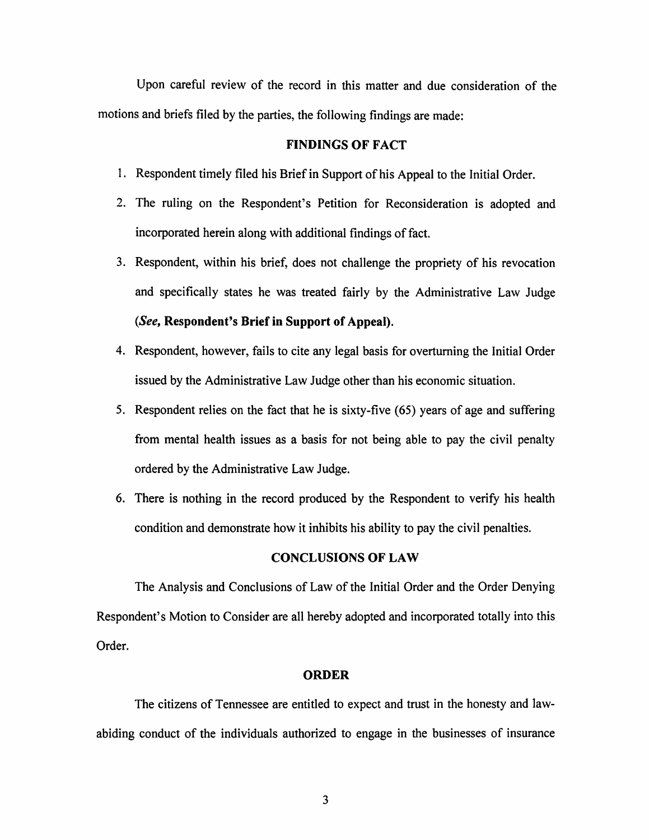Upon careful review of the record in this matter and due consideration of the motions and briefs filed by the parties, the following findings are made:

### FINDINGS OF FACT

- I. Respondent timely filed his Brief in Support of his Appeal to the Initial Order.
- 2. The ruling on the Respondent's Petition for Reconsideration is adopted and incorporated herein along with additional findings of fact.
- 3. Respondent, within his brief, does not challenge the propriety of his revocation and specifically states he was treated fairly by the Administrative Law Judge *(See,* Respondent's Brief in Support of Appeal).
- 4. Respondent, however, fails to cite any legal basis for overturning the Initial Order issued by the Administrative Law Judge other than his economic situation.
- 5. Respondent relies on the fact that he is sixty-five (65) years of age and suffering from mental health issues as a basis for not being able to pay the civil penalty ordered by the Administrative Law Judge.
- 6. There is nothing in the record produced by the Respondent to verify his health condition and demonstrate how it inhibits his ability to pay the civil penalties.

#### CONCLUSIONS OF LAW

The Analysis and Conclusions of Law of the Initial Order and the Order Denying Respondent's Motion to Consider are all hereby adopted and incorporated totally into this Order.

### ORDER

The citizens of Tennessee are entitled to expect and trust in the honesty and lawabiding conduct of the individuals authorized to engage in the businesses of insurance

3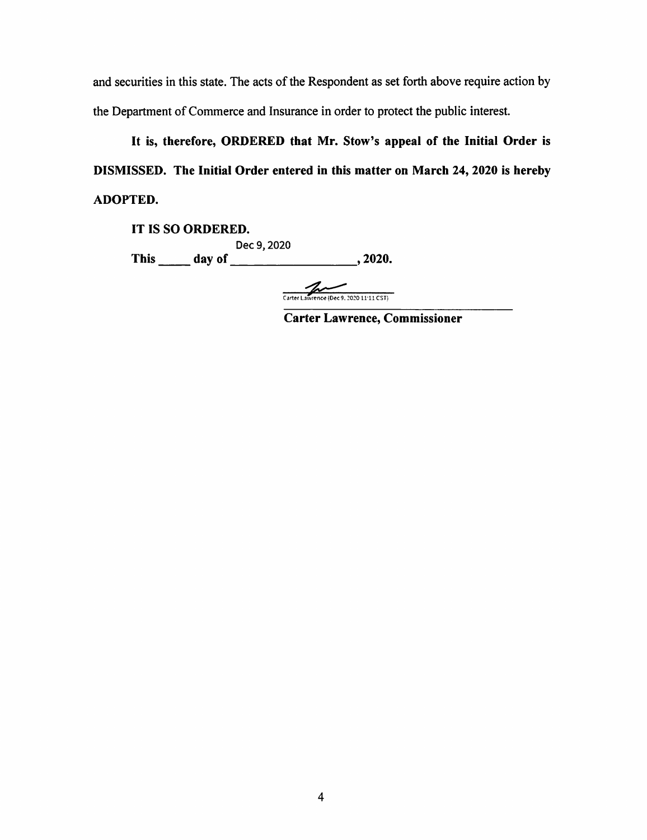and securities in this state. The acts of the Respondent as set forth above require action by the Department of Commerce and Insurance in order to protect the public interest.

It is, therefore, ORDERED that Mr. Stow's appeal of the Initial Order is DISMISSED. The Initial Order entered in this matter on March 24, 2020 is hereby ADOPTED.

IT IS SO ORDERED. Dec 9, 2020 This \_\_ day of \_\_\_\_\_\_\_\_ , 2020.

Carter Lawrence (Dec 9, 2020 11:11 CST)

Carter Lawrence, Commissioner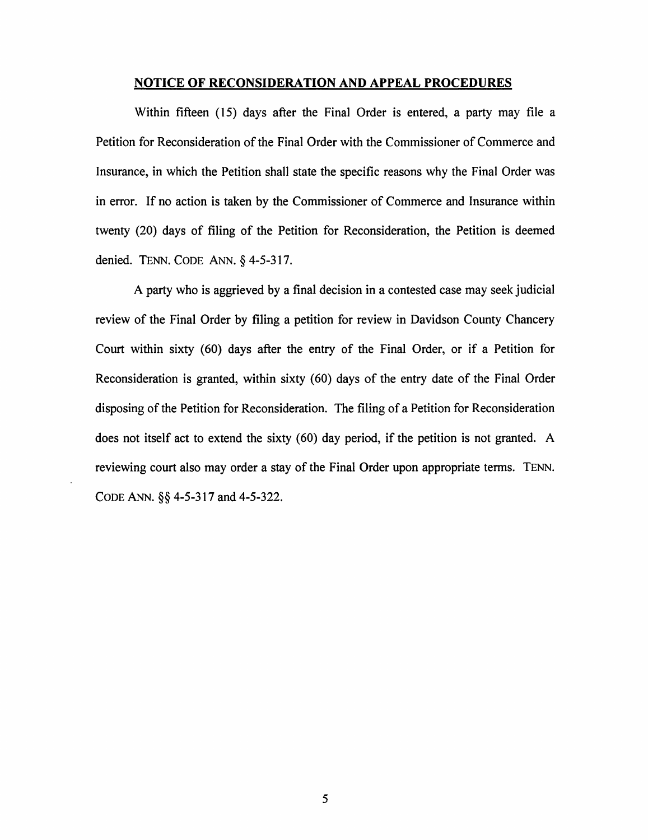#### NOTICE OF RECONSIDERATION AND APPEAL PROCEDURES

Within fifteen (15) days after the Final Order is entered, a party may file a Petition for Reconsideration of the Final Order with the Commissioner of Commerce and Insurance, in which the Petition shall state the specific reasons why the Final Order was in error. If no action is taken by the Commissioner of Commerce and Insurance within twenty (20) days of filing of the Petition for Reconsideration, the Petition is deemed denied. TENN. CODE ANN.§ 4-5-317.

A party who is aggrieved by a final decision in a contested case may seek judicial review of the Final Order by filing a petition for review in Davidson County Chancery Court within sixty (60) days after the entry of the Final Order, or if a Petition for Reconsideration is granted, within sixty (60) days of the entry date of the Final Order disposing of the Petition for Reconsideration. The filing of a Petition for Reconsideration does not itself act to extend the sixty (60) day period, if the petition is not granted. A reviewing court also may order a stay of the Final Order upon appropriate terms. TENN. CODE ANN. §§ 4-5-317 and 4-5-322.